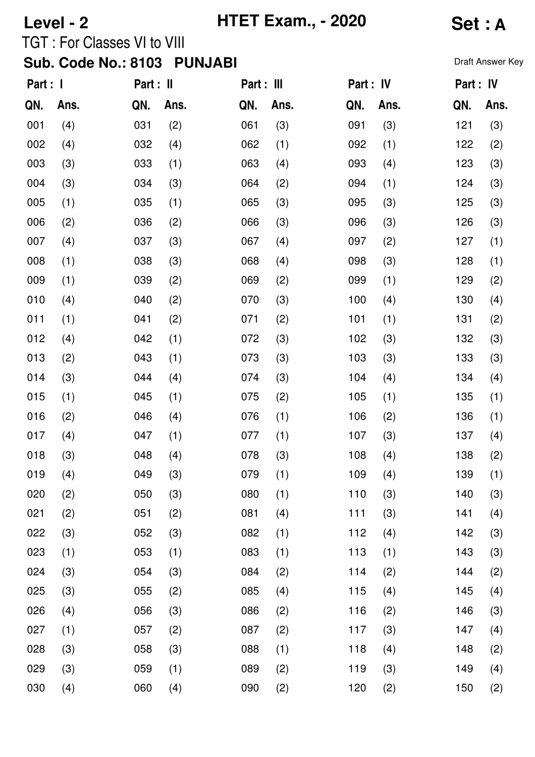# **Level - 2 HTET Exam., - 2020 Set : A**

TGT : For Classes VI to VIII

| Part : I |      | Part : II |      | Part : III |      | Part : IV |      | Part : IV |      |
|----------|------|-----------|------|------------|------|-----------|------|-----------|------|
| QN.      | Ans. | QN.       | Ans. | QN.        | Ans. | QN.       | Ans. | QN.       | Ans. |
| 001      | (4)  | 031       | (2)  | 061        | (3)  | 091       | (3)  | 121       | (3)  |
| 002      | (4)  | 032       | (4)  | 062        | (1)  | 092       | (1)  | 122       | (2)  |
| 003      | (3)  | 033       | (1)  | 063        | (4)  | 093       | (4)  | 123       | (3)  |
| 004      | (3)  | 034       | (3)  | 064        | (2)  | 094       | (1)  | 124       | (3)  |
| 005      | (1)  | 035       | (1)  | 065        | (3)  | 095       | (3)  | 125       | (3)  |
| 006      | (2)  | 036       | (2)  | 066        | (3)  | 096       | (3)  | 126       | (3)  |
| 007      | (4)  | 037       | (3)  | 067        | (4)  | 097       | (2)  | 127       | (1)  |
| 008      | (1)  | 038       | (3)  | 068        | (4)  | 098       | (3)  | 128       | (1)  |
| 009      | (1)  | 039       | (2)  | 069        | (2)  | 099       | (1)  | 129       | (2)  |
| 010      | (4)  | 040       | (2)  | 070        | (3)  | 100       | (4)  | 130       | (4)  |
| 011      | (1)  | 041       | (2)  | 071        | (2)  | 101       | (1)  | 131       | (2)  |
| 012      | (4)  | 042       | (1)  | 072        | (3)  | 102       | (3)  | 132       | (3)  |
| 013      | (2)  | 043       | (1)  | 073        | (3)  | 103       | (3)  | 133       | (3)  |
| 014      | (3)  | 044       | (4)  | 074        | (3)  | 104       | (4)  | 134       | (4)  |
| 015      | (1)  | 045       | (1)  | 075        | (2)  | 105       | (1)  | 135       | (1)  |
| 016      | (2)  | 046       | (4)  | 076        | (1)  | 106       | (2)  | 136       | (1)  |
| 017      | (4)  | 047       | (1)  | 077        | (1)  | 107       | (3)  | 137       | (4)  |
| 018      | (3)  | 048       | (4)  | 078        | (3)  | 108       | (4)  | 138       | (2)  |
| 019      | (4)  | 049       | (3)  | 079        | (1)  | 109       | (4)  | 139       | (1)  |
| 020      | (2)  | 050       | (3)  | 080        | (1)  | 110       | (3)  | 140       | (3)  |
| 021      | (2)  | 051       | (2)  | 081        | (4)  | 111       | (3)  | 141       | (4)  |
| 022      | (3)  | 052       | (3)  | 082        | (1)  | 112       | (4)  | 142       | (3)  |
| 023      | (1)  | 053       | (1)  | 083        | (1)  | 113       | (1)  | 143       | (3)  |
| 024      | (3)  | 054       | (3)  | 084        | (2)  | 114       | (2)  | 144       | (2)  |
| 025      | (3)  | 055       | (2)  | 085        | (4)  | 115       | (4)  | 145       | (4)  |
| 026      | (4)  | 056       | (3)  | 086        | (2)  | 116       | (2)  | 146       | (3)  |
| 027      | (1)  | 057       | (2)  | 087        | (2)  | 117       | (3)  | 147       | (4)  |
| 028      | (3)  | 058       | (3)  | 088        | (1)  | 118       | (4)  | 148       | (2)  |
| 029      | (3)  | 059       | (1)  | 089        | (2)  | 119       | (3)  | 149       | (4)  |
| 030      | (4)  | 060       | (4)  | 090        | (2)  | 120       | (2)  | 150       | (2)  |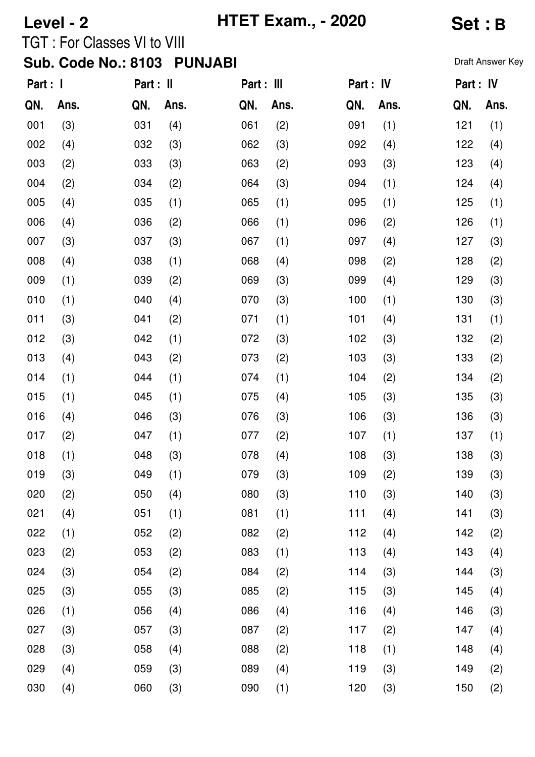# **Level - 2 HTET Exam., - 2020 Set : B**

## TGT : For Classes VI to VIII

| Part : I |      | Part : II |      | Part : III |      | Part : IV |      | Part: IV |      |
|----------|------|-----------|------|------------|------|-----------|------|----------|------|
| QN.      | Ans. | QN.       | Ans. | QN.        | Ans. | QN.       | Ans. | QN.      | Ans. |
| 001      | (3)  | 031       | (4)  | 061        | (2)  | 091       | (1)  | 121      | (1)  |
| 002      | (4)  | 032       | (3)  | 062        | (3)  | 092       | (4)  | 122      | (4)  |
| 003      | (2)  | 033       | (3)  | 063        | (2)  | 093       | (3)  | 123      | (4)  |
| 004      | (2)  | 034       | (2)  | 064        | (3)  | 094       | (1)  | 124      | (4)  |
| 005      | (4)  | 035       | (1)  | 065        | (1)  | 095       | (1)  | 125      | (1)  |
| 006      | (4)  | 036       | (2)  | 066        | (1)  | 096       | (2)  | 126      | (1)  |
| 007      | (3)  | 037       | (3)  | 067        | (1)  | 097       | (4)  | 127      | (3)  |
| 008      | (4)  | 038       | (1)  | 068        | (4)  | 098       | (2)  | 128      | (2)  |
| 009      | (1)  | 039       | (2)  | 069        | (3)  | 099       | (4)  | 129      | (3)  |
| 010      | (1)  | 040       | (4)  | 070        | (3)  | 100       | (1)  | 130      | (3)  |
| 011      | (3)  | 041       | (2)  | 071        | (1)  | 101       | (4)  | 131      | (1)  |
| 012      | (3)  | 042       | (1)  | 072        | (3)  | 102       | (3)  | 132      | (2)  |
| 013      | (4)  | 043       | (2)  | 073        | (2)  | 103       | (3)  | 133      | (2)  |
| 014      | (1)  | 044       | (1)  | 074        | (1)  | 104       | (2)  | 134      | (2)  |
| 015      | (1)  | 045       | (1)  | 075        | (4)  | 105       | (3)  | 135      | (3)  |
| 016      | (4)  | 046       | (3)  | 076        | (3)  | 106       | (3)  | 136      | (3)  |
| 017      | (2)  | 047       | (1)  | 077        | (2)  | 107       | (1)  | 137      | (1)  |
| 018      | (1)  | 048       | (3)  | 078        | (4)  | 108       | (3)  | 138      | (3)  |
| 019      | (3)  | 049       | (1)  | 079        | (3)  | 109       | (2)  | 139      | (3)  |
| 020      | (2)  | 050       | (4)  | 080        | (3)  | 110       | (3)  | 140      | (3)  |
| 021      | (4)  | 051       | (1)  | 081        | (1)  | 111       | (4)  | 141      | (3)  |
| 022      | (1)  | 052       | (2)  | 082        | (2)  | 112       | (4)  | 142      | (2)  |
| 023      | (2)  | 053       | (2)  | 083        | (1)  | 113       | (4)  | 143      | (4)  |
| 024      | (3)  | 054       | (2)  | 084        | (2)  | 114       | (3)  | 144      | (3)  |
| 025      | (3)  | 055       | (3)  | 085        | (2)  | 115       | (3)  | 145      | (4)  |
| 026      | (1)  | 056       | (4)  | 086        | (4)  | 116       | (4)  | 146      | (3)  |
| 027      | (3)  | 057       | (3)  | 087        | (2)  | 117       | (2)  | 147      | (4)  |
| 028      | (3)  | 058       | (4)  | 088        | (2)  | 118       | (1)  | 148      | (4)  |
| 029      | (4)  | 059       | (3)  | 089        | (4)  | 119       | (3)  | 149      | (2)  |
| 030      | (4)  | 060       | (3)  | 090        | (1)  | 120       | (3)  | 150      | (2)  |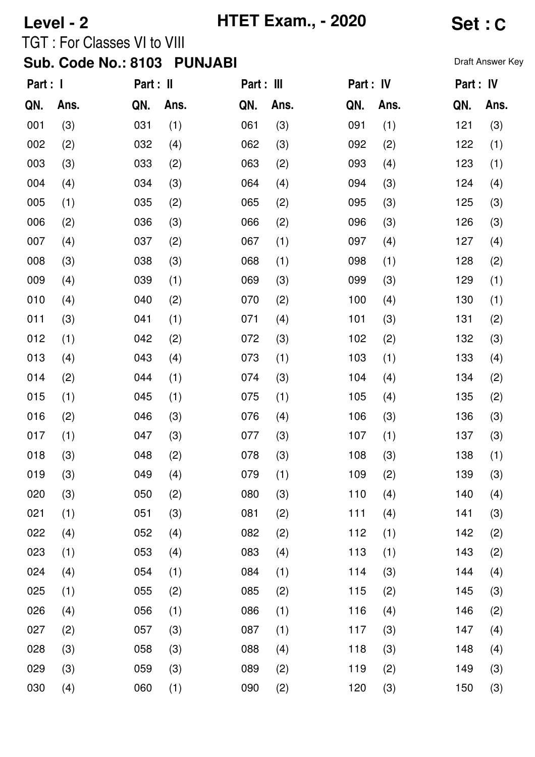# **Level - 2 HTET Exam., - 2020 Set : C**

TGT : For Classes VI to VIII

| Part : I |      | Part : II |      | Part : III |      | Part : IV |      | Part : IV |      |
|----------|------|-----------|------|------------|------|-----------|------|-----------|------|
| QN.      | Ans. | QN.       | Ans. | QN.        | Ans. | QN.       | Ans. | QN.       | Ans. |
| 001      | (3)  | 031       | (1)  | 061        | (3)  | 091       | (1)  | 121       | (3)  |
| 002      | (2)  | 032       | (4)  | 062        | (3)  | 092       | (2)  | 122       | (1)  |
| 003      | (3)  | 033       | (2)  | 063        | (2)  | 093       | (4)  | 123       | (1)  |
| 004      | (4)  | 034       | (3)  | 064        | (4)  | 094       | (3)  | 124       | (4)  |
| 005      | (1)  | 035       | (2)  | 065        | (2)  | 095       | (3)  | 125       | (3)  |
| 006      | (2)  | 036       | (3)  | 066        | (2)  | 096       | (3)  | 126       | (3)  |
| 007      | (4)  | 037       | (2)  | 067        | (1)  | 097       | (4)  | 127       | (4)  |
| 008      | (3)  | 038       | (3)  | 068        | (1)  | 098       | (1)  | 128       | (2)  |
| 009      | (4)  | 039       | (1)  | 069        | (3)  | 099       | (3)  | 129       | (1)  |
| 010      | (4)  | 040       | (2)  | 070        | (2)  | 100       | (4)  | 130       | (1)  |
| 011      | (3)  | 041       | (1)  | 071        | (4)  | 101       | (3)  | 131       | (2)  |
| 012      | (1)  | 042       | (2)  | 072        | (3)  | 102       | (2)  | 132       | (3)  |
| 013      | (4)  | 043       | (4)  | 073        | (1)  | 103       | (1)  | 133       | (4)  |
| 014      | (2)  | 044       | (1)  | 074        | (3)  | 104       | (4)  | 134       | (2)  |
| 015      | (1)  | 045       | (1)  | 075        | (1)  | 105       | (4)  | 135       | (2)  |
| 016      | (2)  | 046       | (3)  | 076        | (4)  | 106       | (3)  | 136       | (3)  |
| 017      | (1)  | 047       | (3)  | 077        | (3)  | 107       | (1)  | 137       | (3)  |
| 018      | (3)  | 048       | (2)  | 078        | (3)  | 108       | (3)  | 138       | (1)  |
| 019      | (3)  | 049       | (4)  | 079        | (1)  | 109       | (2)  | 139       | (3)  |
| 020      | (3)  | 050       | (2)  | 080        | (3)  | 110       | (4)  | 140       | (4)  |
| 021      | (1)  | 051       | (3)  | 081        | (2)  | 111       | (4)  | 141       | (3)  |
| 022      | (4)  | 052       | (4)  | 082        | (2)  | 112       | (1)  | 142       | (2)  |
| 023      | (1)  | 053       | (4)  | 083        | (4)  | 113       | (1)  | 143       | (2)  |
| 024      | (4)  | 054       | (1)  | 084        | (1)  | 114       | (3)  | 144       | (4)  |
| 025      | (1)  | 055       | (2)  | 085        | (2)  | 115       | (2)  | 145       | (3)  |
| 026      | (4)  | 056       | (1)  | 086        | (1)  | 116       | (4)  | 146       | (2)  |
| 027      | (2)  | 057       | (3)  | 087        | (1)  | 117       | (3)  | 147       | (4)  |
| 028      | (3)  | 058       | (3)  | 088        | (4)  | 118       | (3)  | 148       | (4)  |
| 029      | (3)  | 059       | (3)  | 089        | (2)  | 119       | (2)  | 149       | (3)  |
| 030      | (4)  | 060       | (1)  | 090        | (2)  | 120       | (3)  | 150       | (3)  |